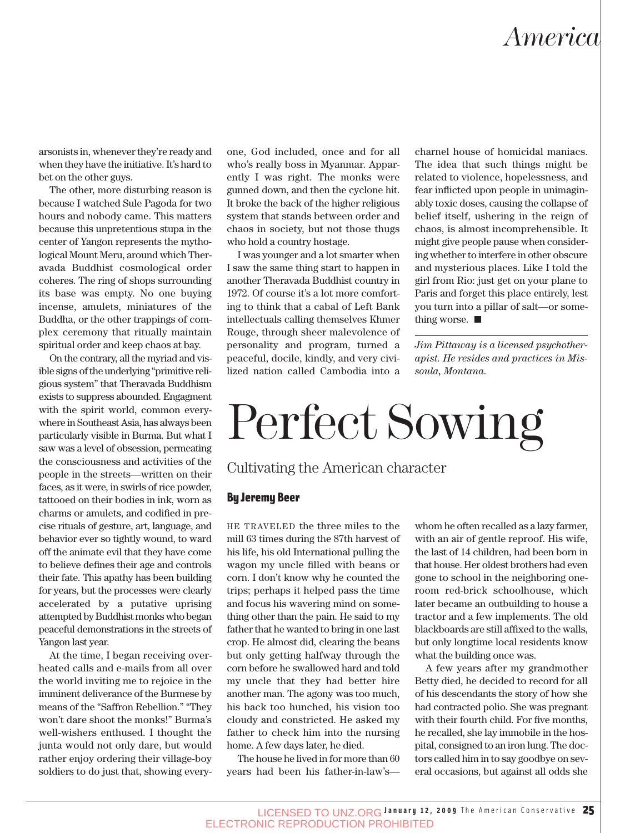## *America*

arsonists in, whenever they're ready and when they have the initiative. It's hard to bet on the other guys.

The other, more disturbing reason is because I watched Sule Pagoda for two hours and nobody came. This matters because this unpretentious stupa in the center of Yangon represents the mythological Mount Meru, around which Theravada Buddhist cosmological order coheres. The ring of shops surrounding its base was empty. No one buying incense, amulets, miniatures of the Buddha, or the other trappings of complex ceremony that ritually maintain spiritual order and keep chaos at bay.

On the contrary, all the myriad and visible signs of the underlying "primitive religious system" that Theravada Buddhism exists to suppress abounded. Engagment with the spirit world, common everywhere in Southeast Asia, has always been particularly visible in Burma. But what I saw was a level of obsession, permeating the consciousness and activities of the people in the streets—written on their faces, as it were, in swirls of rice powder, tattooed on their bodies in ink, worn as charms or amulets, and codified in precise rituals of gesture, art, language, and behavior ever so tightly wound, to ward off the animate evil that they have come to believe defines their age and controls their fate. This apathy has been building for years, but the processes were clearly accelerated by a putative uprising attempted by Buddhist monks who began peaceful demonstrations in the streets of Yangon last year.

At the time, I began receiving overheated calls and e-mails from all over the world inviting me to rejoice in the imminent deliverance of the Burmese by means of the "Saffron Rebellion." "They won't dare shoot the monks!" Burma's well-wishers enthused. I thought the junta would not only dare, but would rather enjoy ordering their village-boy soldiers to do just that, showing everyone, God included, once and for all who's really boss in Myanmar. Apparently I was right. The monks were gunned down, and then the cyclone hit. It broke the back of the higher religious system that stands between order and chaos in society, but not those thugs who hold a country hostage.

I was younger and a lot smarter when I saw the same thing start to happen in another Theravada Buddhist country in 1972. Of course it's a lot more comforting to think that a cabal of Left Bank intellectuals calling themselves Khmer Rouge, through sheer malevolence of personality and program, turned a peaceful, docile, kindly, and very civilized nation called Cambodia into a charnel house of homicidal maniacs. The idea that such things might be related to violence, hopelessness, and fear inflicted upon people in unimaginably toxic doses, causing the collapse of belief itself, ushering in the reign of chaos, is almost incomprehensible. It might give people pause when considering whether to interfere in other obscure and mysterious places. Like I told the girl from Rio: just get on your plane to Paris and forget this place entirely, lest you turn into a pillar of salt—or something worse.

*Jim Pittaway is a licensed psychotherapist. He resides and practices in Missoula, Montana.*

# Perfect Sowing

### Cultivating the American character

#### By Jeremy Beer

HE TRAVELED the three miles to the mill 63 times during the 87th harvest of his life, his old International pulling the wagon my uncle filled with beans or corn. I don't know why he counted the trips; perhaps it helped pass the time and focus his wavering mind on something other than the pain. He said to my father that he wanted to bring in one last crop. He almost did, clearing the beans but only getting halfway through the corn before he swallowed hard and told my uncle that they had better hire another man. The agony was too much, his back too hunched, his vision too cloudy and constricted. He asked my father to check him into the nursing home. A few days later, he died.

The house he lived in for more than 60 years had been his father-in-law'swhom he often recalled as a lazy farmer, with an air of gentle reproof. His wife, the last of 14 children, had been born in that house. Her oldest brothers had even gone to school in the neighboring oneroom red-brick schoolhouse, which later became an outbuilding to house a tractor and a few implements. The old blackboards are still affixed to the walls, but only longtime local residents know what the building once was.

A few years after my grandmother Betty died, he decided to record for all of his descendants the story of how she had contracted polio. She was pregnant with their fourth child. For five months, he recalled, she lay immobile in the hospital, consigned to an iron lung. The doctors called him in to say goodbye on several occasions, but against all odds she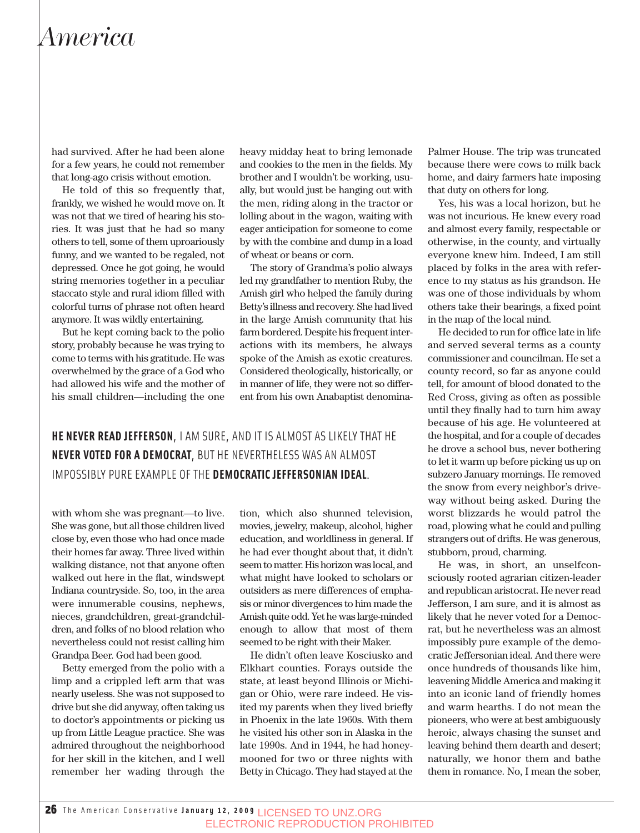### *America*

had survived. After he had been alone for a few years, he could not remember that long-ago crisis without emotion.

He told of this so frequently that, frankly, we wished he would move on. It was not that we tired of hearing his stories. It was just that he had so many others to tell, some of them uproariously funny, and we wanted to be regaled, not depressed. Once he got going, he would string memories together in a peculiar staccato style and rural idiom filled with colorful turns of phrase not often heard anymore. It was wildly entertaining.

But he kept coming back to the polio story, probably because he was trying to come to terms with his gratitude. He was overwhelmed by the grace of a God who had allowed his wife and the mother of his small children—including the one

heavy midday heat to bring lemonade and cookies to the men in the fields. My brother and I wouldn't be working, usually, but would just be hanging out with the men, riding along in the tractor or lolling about in the wagon, waiting with eager anticipation for someone to come by with the combine and dump in a load of wheat or beans or corn.

The story of Grandma's polio always led my grandfather to mention Ruby, the Amish girl who helped the family during Betty's illness and recovery. She had lived in the large Amish community that his farm bordered. Despite his frequent interactions with its members, he always spoke of the Amish as exotic creatures. Considered theologically, historically, or in manner of life, they were not so different from his own Anabaptist denomina-

**HE NEVER READ JEFFERSON**, I AM SURE, AND IT IS ALMOST AS LIKELY THAT HE **NEVER VOTED FOR A DEMOCRAT**, BUT HE NEVERTHELESS WAS AN ALMOST IMPOSSIBLY PURE EXAMPLE OF THE **DEMOCRATIC JEFFERSONIAN IDEAL**.

with whom she was pregnant—to live. She was gone, but all those children lived close by, even those who had once made their homes far away. Three lived within walking distance, not that anyone often walked out here in the flat, windswept Indiana countryside. So, too, in the area were innumerable cousins, nephews, nieces, grandchildren, great-grandchildren, and folks of no blood relation who nevertheless could not resist calling him Grandpa Beer. God had been good.

Betty emerged from the polio with a limp and a crippled left arm that was nearly useless. She was not supposed to drive but she did anyway, often taking us to doctor's appointments or picking us up from Little League practice. She was admired throughout the neighborhood for her skill in the kitchen, and I well remember her wading through the

tion, which also shunned television, movies, jewelry, makeup, alcohol, higher education, and worldliness in general. If he had ever thought about that, it didn't seem to matter. His horizon was local, and what might have looked to scholars or outsiders as mere differences of emphasis or minor divergences to him made the Amish quite odd. Yet he was large-minded enough to allow that most of them seemed to be right with their Maker.

He didn't often leave Kosciusko and Elkhart counties. Forays outside the state, at least beyond Illinois or Michigan or Ohio, were rare indeed. He visited my parents when they lived briefly in Phoenix in the late 1960s. With them he visited his other son in Alaska in the late 1990s. And in 1944, he had honeymooned for two or three nights with Betty in Chicago. They had stayed at the Palmer House. The trip was truncated because there were cows to milk back home, and dairy farmers hate imposing that duty on others for long.

Yes, his was a local horizon, but he was not incurious. He knew every road and almost every family, respectable or otherwise, in the county, and virtually everyone knew him. Indeed, I am still placed by folks in the area with reference to my status as his grandson. He was one of those individuals by whom others take their bearings, a fixed point in the map of the local mind.

He decided to run for office late in life and served several terms as a county commissioner and councilman. He set a county record, so far as anyone could tell, for amount of blood donated to the Red Cross, giving as often as possible until they finally had to turn him away because of his age. He volunteered at the hospital, and for a couple of decades he drove a school bus, never bothering to let it warm up before picking us up on subzero January mornings. He removed the snow from every neighbor's driveway without being asked. During the worst blizzards he would patrol the road, plowing what he could and pulling strangers out of drifts. He was generous, stubborn, proud, charming.

He was, in short, an unselfconsciously rooted agrarian citizen-leader and republican aristocrat. He never read Jefferson, I am sure, and it is almost as likely that he never voted for a Democrat, but he nevertheless was an almost impossibly pure example of the democratic Jeffersonian ideal. And there were once hundreds of thousands like him, leavening Middle America and making it into an iconic land of friendly homes and warm hearths. I do not mean the pioneers, who were at best ambiguously heroic, always chasing the sunset and leaving behind them dearth and desert; naturally, we honor them and bathe them in romance. No, I mean the sober,